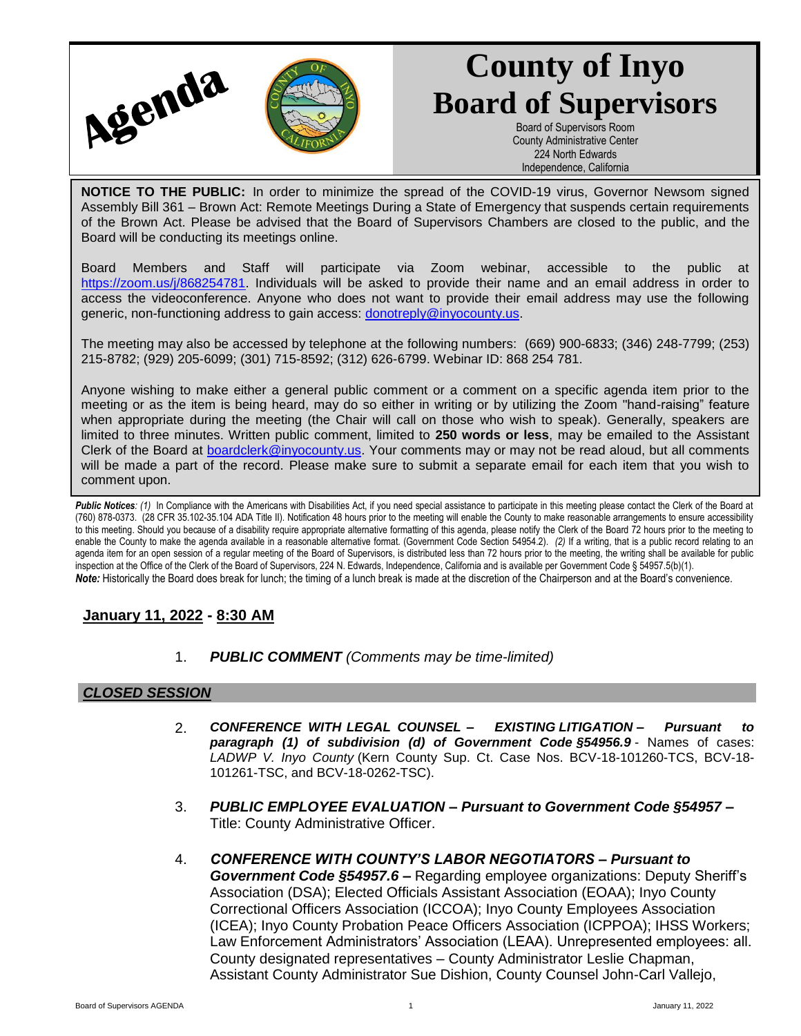

# **County of Inyo Board of Supervisors**

Board of Supervisors Room County Administrative Center 224 North Edwards Independence, California

**NOTICE TO THE PUBLIC:** In order to minimize the spread of the COVID-19 virus, Governor Newsom signed Assembly Bill 361 – Brown Act: Remote Meetings During a State of Emergency that suspends certain requirements of the Brown Act. Please be advised that the Board of Supervisors Chambers are closed to the public, and the Board will be conducting its meetings online.

Board Members and Staff will participate via Zoom webinar, accessible to the public at [https://zoom.us/j/868254781.](https://zoom.us/j/868254781) Individuals will be asked to provide their name and an email address in order to access the videoconference. Anyone who does not want to provide their email address may use the following generic, non-functioning address to gain access: [donotreply@inyocounty.us.](mailto:donotreply@inyocounty.us)

The meeting may also be accessed by telephone at the following numbers: (669) 900-6833; (346) 248-7799; (253) 215-8782; (929) 205-6099; (301) 715-8592; (312) 626-6799. Webinar ID: 868 254 781.

Anyone wishing to make either a general public comment or a comment on a specific agenda item prior to the meeting or as the item is being heard, may do so either in writing or by utilizing the Zoom "hand-raising" feature when appropriate during the meeting (the Chair will call on those who wish to speak). Generally, speakers are limited to three minutes. Written public comment, limited to **250 words or less**, may be emailed to the Assistant Clerk of the Board at [boardclerk@inyocounty.us.](mailto:boardclerk@inyocounty.us) Your comments may or may not be read aloud, but all comments will be made a part of the record. Please make sure to submit a separate email for each item that you wish to comment upon.

Public Notices: (1) In Compliance with the Americans with Disabilities Act, if you need special assistance to participate in this meeting please contact the Clerk of the Board at (760) 878-0373. (28 CFR 35.102-35.104 ADA Title II). Notification 48 hours prior to the meeting will enable the County to make reasonable arrangements to ensure accessibility to this meeting. Should you because of a disability require appropriate alternative formatting of this agenda, please notify the Clerk of the Board 72 hours prior to the meeting to enable the County to make the agenda available in a reasonable alternative format. (Government Code Section 54954.2). *(2)* If a writing, that is a public record relating to an agenda item for an open session of a regular meeting of the Board of Supervisors, is distributed less than 72 hours prior to the meeting, the writing shall be available for public inspection at the Office of the Clerk of the Board of Supervisors, 224 N. Edwards, Independence, California and is available per Government Code § 54957.5(b)(1). *Note:* Historically the Board does break for lunch; the timing of a lunch break is made at the discretion of the Chairperson and at the Board's convenience.

## **January 11, 2022 - 8:30 AM**

1. *PUBLIC COMMENT (Comments may be time-limited)*

## *CLOSED SESSION*

- 2. *CONFERENCE WITH LEGAL COUNSEL – EXISTING LITIGATION* **–** *Pursuant to paragraph (1) of subdivision (d) of Government Code §54956.9* - Names of cases: *LADWP V. Inyo County* (Kern County Sup. Ct. Case Nos. BCV-18-101260-TCS, BCV-18- 101261-TSC, and BCV-18-0262-TSC).
- 3. *PUBLIC EMPLOYEE EVALUATION – Pursuant to Government Code §54957 –* Title: County Administrative Officer.
- 4. *CONFERENCE WITH COUNTY'S LABOR NEGOTIATORS – Pursuant to Government Code §54957.6 –* Regarding employee organizations: Deputy Sheriff's Association (DSA); Elected Officials Assistant Association (EOAA); Inyo County Correctional Officers Association (ICCOA); Inyo County Employees Association (ICEA); Inyo County Probation Peace Officers Association (ICPPOA); IHSS Workers; Law Enforcement Administrators' Association (LEAA). Unrepresented employees: all. County designated representatives – County Administrator Leslie Chapman, Assistant County Administrator Sue Dishion, County Counsel John-Carl Vallejo,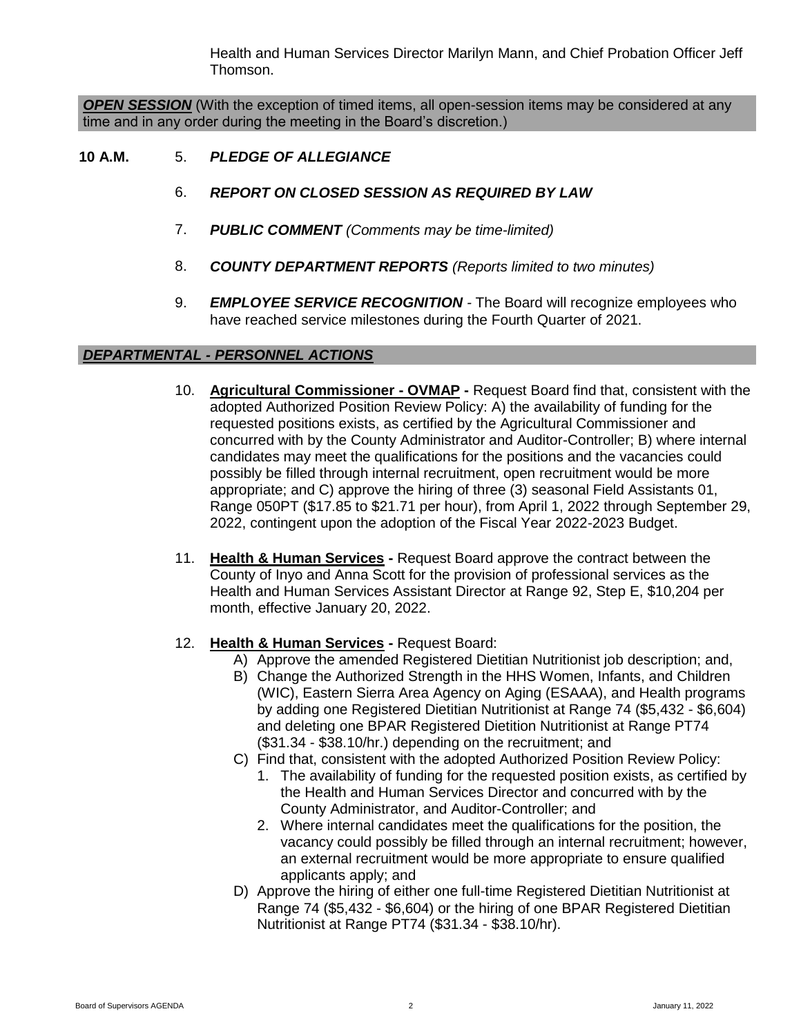Health and Human Services Director Marilyn Mann, and Chief Probation Officer Jeff Thomson.

*OPEN SESSION* (With the exception of timed items, all open-session items may be considered at any time and in any order during the meeting in the Board's discretion.)

### **10 A.M.** 5. *PLEDGE OF ALLEGIANCE*

- 6. *REPORT ON CLOSED SESSION AS REQUIRED BY LAW*
- 7. *PUBLIC COMMENT (Comments may be time-limited)*
- 8. *COUNTY DEPARTMENT REPORTS (Reports limited to two minutes)*
- 9. *EMPLOYEE SERVICE RECOGNITION -* The Board will recognize employees who have reached service milestones during the Fourth Quarter of 2021.

### *DEPARTMENTAL - PERSONNEL ACTIONS*

- 10. **Agricultural Commissioner - OVMAP -** Request Board find that, consistent with the adopted Authorized Position Review Policy: A) the availability of funding for the requested positions exists, as certified by the Agricultural Commissioner and concurred with by the County Administrator and Auditor-Controller; B) where internal candidates may meet the qualifications for the positions and the vacancies could possibly be filled through internal recruitment, open recruitment would be more appropriate; and C) approve the hiring of three (3) seasonal Field Assistants 01, Range 050PT (\$17.85 to \$21.71 per hour), from April 1, 2022 through September 29, 2022, contingent upon the adoption of the Fiscal Year 2022-2023 Budget.
- 11. **Health & Human Services -** Request Board approve the contract between the County of Inyo and Anna Scott for the provision of professional services as the Health and Human Services Assistant Director at Range 92, Step E, \$10,204 per month, effective January 20, 2022.
- 12. **Health & Human Services -** Request Board:
	- A) Approve the amended Registered Dietitian Nutritionist job description; and,
	- B) Change the Authorized Strength in the HHS Women, Infants, and Children (WIC), Eastern Sierra Area Agency on Aging (ESAAA), and Health programs by adding one Registered Dietitian Nutritionist at Range 74 (\$5,432 - \$6,604) and deleting one BPAR Registered Dietition Nutritionist at Range PT74 (\$31.34 - \$38.10/hr.) depending on the recruitment; and
	- C) Find that, consistent with the adopted Authorized Position Review Policy:
		- 1. The availability of funding for the requested position exists, as certified by the Health and Human Services Director and concurred with by the County Administrator, and Auditor-Controller; and
		- 2. Where internal candidates meet the qualifications for the position, the vacancy could possibly be filled through an internal recruitment; however, an external recruitment would be more appropriate to ensure qualified applicants apply; and
	- D) Approve the hiring of either one full-time Registered Dietitian Nutritionist at Range 74 (\$5,432 - \$6,604) or the hiring of one BPAR Registered Dietitian Nutritionist at Range PT74 (\$31.34 - \$38.10/hr).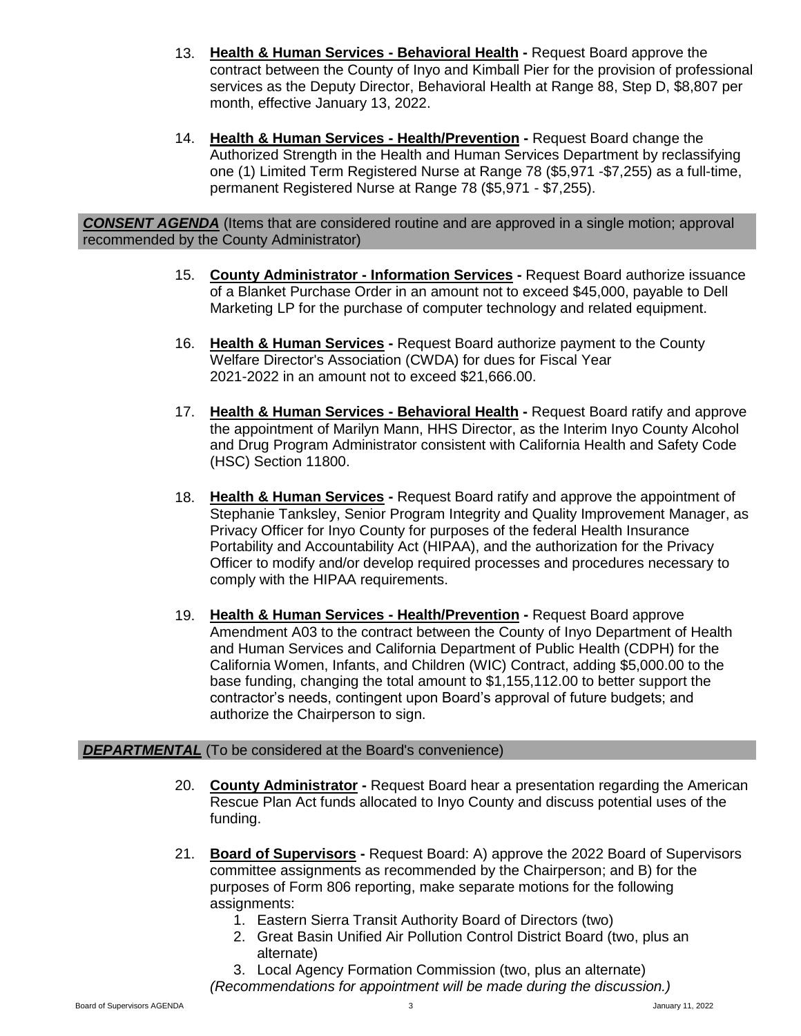- 13. **Health & Human Services - Behavioral Health -** Request Board approve the contract between the County of Inyo and Kimball Pier for the provision of professional services as the Deputy Director, Behavioral Health at Range 88, Step D, \$8,807 per month, effective January 13, 2022.
- 14. **Health & Human Services - Health/Prevention -** Request Board change the Authorized Strength in the Health and Human Services Department by reclassifying one (1) Limited Term Registered Nurse at Range 78 (\$5,971 -\$7,255) as a full-time, permanent Registered Nurse at Range 78 (\$5,971 - \$7,255).

*CONSENT AGENDA* (Items that are considered routine and are approved in a single motion; approval recommended by the County Administrator)

- 15. **County Administrator - Information Services -** Request Board authorize issuance of a Blanket Purchase Order in an amount not to exceed \$45,000, payable to Dell Marketing LP for the purchase of computer technology and related equipment.
- 16. **Health & Human Services -** Request Board authorize payment to the County Welfare Director's Association (CWDA) for dues for Fiscal Year 2021-2022 in an amount not to exceed \$21,666.00.
- 17. **Health & Human Services - Behavioral Health -** Request Board ratify and approve the appointment of Marilyn Mann, HHS Director, as the Interim Inyo County Alcohol and Drug Program Administrator consistent with California Health and Safety Code (HSC) Section 11800.
- 18. **Health & Human Services -** Request Board ratify and approve the appointment of Stephanie Tanksley, Senior Program Integrity and Quality Improvement Manager, as Privacy Officer for Inyo County for purposes of the federal Health Insurance Portability and Accountability Act (HIPAA), and the authorization for the Privacy Officer to modify and/or develop required processes and procedures necessary to comply with the HIPAA requirements.
- 19. **Health & Human Services - Health/Prevention -** Request Board approve Amendment A03 to the contract between the County of Inyo Department of Health and Human Services and California Department of Public Health (CDPH) for the California Women, Infants, and Children (WIC) Contract, adding \$5,000.00 to the base funding, changing the total amount to \$1,155,112.00 to better support the contractor's needs, contingent upon Board's approval of future budgets; and authorize the Chairperson to sign.

#### **DEPARTMENTAL** (To be considered at the Board's convenience)

- 20. **County Administrator -** Request Board hear a presentation regarding the American Rescue Plan Act funds allocated to Inyo County and discuss potential uses of the funding.
- 21. **Board of Supervisors -** Request Board: A) approve the 2022 Board of Supervisors committee assignments as recommended by the Chairperson; and B) for the purposes of Form 806 reporting, make separate motions for the following assignments:
	- 1. Eastern Sierra Transit Authority Board of Directors (two)
	- 2. Great Basin Unified Air Pollution Control District Board (two, plus an alternate)

3. Local Agency Formation Commission (two, plus an alternate) *(Recommendations for appointment will be made during the discussion.)*